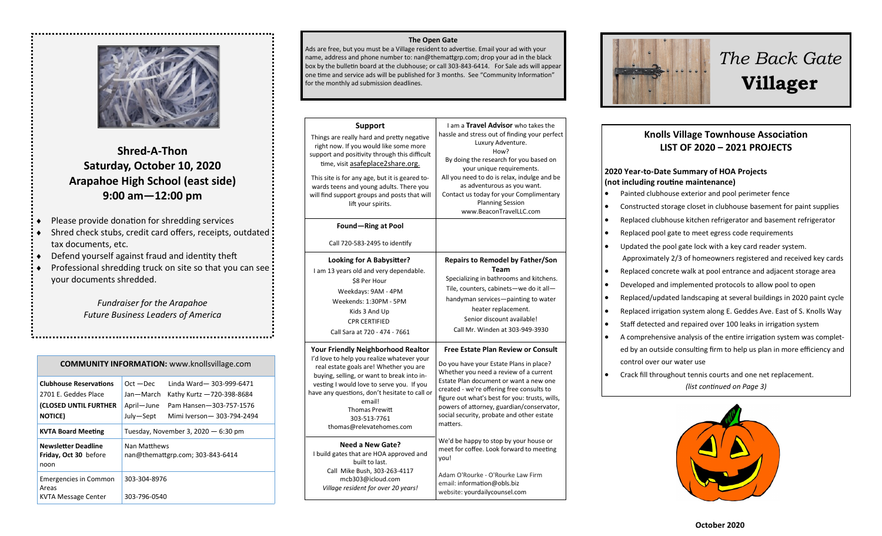

# **Shred-A-Thon Saturday, October 10, 2020 Arapahoe High School (east side) 9:00 am—12:00 pm**

- Please provide donation for shredding services
- Shred check stubs, credit card offers, receipts, outdated tax documents, etc.
- Defend yourself against fraud and identity theft
- Professional shredding truck on site so that you can see your documents shredded.

*Fundraiser for the Arapahoe Future Business Leaders of America*

| <b>COMMUNITY INFORMATION:</b> www.knollsvillage.com                                               |                                                     |                                                                                                              |  |
|---------------------------------------------------------------------------------------------------|-----------------------------------------------------|--------------------------------------------------------------------------------------------------------------|--|
| <b>Clubhouse Reservations</b><br>2701 E. Geddes Place<br>(CLOSED UNTIL FURTHER<br><b>NOTICE</b> ) | $Oct - Dec$<br>Jan-March<br>April-June<br>July-Sept | Linda Ward-303-999-6471<br>Kathy Kurtz -720-398-8684<br>Pam Hansen-303-757-1576<br>Mimi Iverson-303-794-2494 |  |
| <b>KVTA Board Meeting</b>                                                                         | Tuesday, November 3, 2020 $-6:30$ pm                |                                                                                                              |  |
| <b>Newsletter Deadline</b><br>Friday, Oct 30 before<br>noon                                       | Nan Matthews<br>nan@themattgrp.com; 303-843-6414    |                                                                                                              |  |
| <b>Emergencies in Common</b><br>Areas<br>KVTA Message Center                                      | 303-304-8976<br>303-796-0540                        |                                                                                                              |  |

#### **The Open Gate**

Ads are free, but you must be a Village resident to advertise. Email your ad with your name, address and phone number to: nan@themattgrp.com; drop your ad in the black box by the bulletin board at the clubhouse; or call 303-843-6414. For Sale ads will appear one time and service ads will be published for 3 months. See "Community Information" for the monthly ad submission deadlines.

| <b>Support</b><br>Things are really hard and pretty negative<br>right now. If you would like some more<br>support and positivity through this difficult<br>time, visit asafeplace2share.org.<br>This site is for any age, but it is geared to-<br>wards teens and young adults. There you<br>will find support groups and posts that will<br>lift your spirits. | I am a Travel Advisor who takes the<br>hassle and stress out of finding your perfect<br>Luxury Adventure.<br>How?<br>By doing the research for you based on<br>your unique requirements.<br>All you need to do is relax, indulge and be<br>as adventurous as you want.<br>Contact us today for your Complimentary<br><b>Planning Session</b><br>www.BeaconTravelLLC.com       |
|-----------------------------------------------------------------------------------------------------------------------------------------------------------------------------------------------------------------------------------------------------------------------------------------------------------------------------------------------------------------|-------------------------------------------------------------------------------------------------------------------------------------------------------------------------------------------------------------------------------------------------------------------------------------------------------------------------------------------------------------------------------|
| Found-Ring at Pool                                                                                                                                                                                                                                                                                                                                              |                                                                                                                                                                                                                                                                                                                                                                               |
| Call 720-583-2495 to identify                                                                                                                                                                                                                                                                                                                                   |                                                                                                                                                                                                                                                                                                                                                                               |
| <b>Looking for A Babysitter?</b><br>I am 13 years old and very dependable.<br>\$8 Per Hour<br>Weekdays: 9AM - 4PM<br>Weekends: 1:30PM - 5PM<br>Kids 3 And Up<br><b>CPR CERTIFIED</b><br>Call Sara at 720 - 474 - 7661                                                                                                                                           | <b>Repairs to Remodel by Father/Son</b><br>Team<br>Specializing in bathrooms and kitchens.<br>Tile, counters, cabinets-we do it all-<br>handyman services—painting to water<br>heater replacement.<br>Senior discount available!<br>Call Mr. Winden at 303-949-3930                                                                                                           |
| <b>Your Friendly Neighborhood Realtor</b><br>I'd love to help you realize whatever your<br>real estate goals are! Whether you are<br>buying, selling, or want to break into in-<br>vesting I would love to serve you. If you<br>have any questions, don't hesitate to call or<br>email!<br><b>Thomas Prewitt</b><br>303-513-7761<br>thomas@relevatehomes.com    | <b>Free Estate Plan Review or Consult</b><br>Do you have your Estate Plans in place?<br>Whether you need a review of a current<br>Estate Plan document or want a new one<br>created - we're offering free consults to<br>figure out what's best for you: trusts, wills,<br>powers of attorney, guardian/conservator,<br>social security, probate and other estate<br>matters. |
| Need a New Gate?<br>I build gates that are HOA approved and<br>built to last.<br>Call Mike Bush, 303-263-4117<br>mcb303@icloud.com<br>Village resident for over 20 years!                                                                                                                                                                                       | We'd be happy to stop by your house or<br>meet for coffee. Look forward to meeting<br>you!<br>Adam O'Rourke - O'Rourke Law Firm<br>email: information@obls.biz<br>website: yourdailycounsel.com                                                                                                                                                                               |



# *The Back Gate*  **Villager**

### **Knolls Village Townhouse Association LIST OF 2020 – 2021 PROJECTS**

#### **2020 Year-to-Date Summary of HOA Projects (not including routine maintenance)**

- Painted clubhouse exterior and pool perimeter fence
- Constructed storage closet in clubhouse basement for paint supplies
- Replaced clubhouse kitchen refrigerator and basement refrigerator
- Replaced pool gate to meet egress code requirements
- Updated the pool gate lock with a key card reader system. Approximately 2/3 of homeowners registered and received key cards
- Replaced concrete walk at pool entrance and adjacent storage area
- Developed and implemented protocols to allow pool to open
- Replaced/updated landscaping at several buildings in 2020 paint cycle
- Replaced irrigation system along E. Geddes Ave. East of S. Knolls Way
- Staff detected and repaired over 100 leaks in irrigation system
- A comprehensive analysis of the entire irrigation system was completed by an outside consulting firm to help us plan in more efficiency and control over our water use
- Crack fill throughout tennis courts and one net replacement. *(list continued on Page 3)*